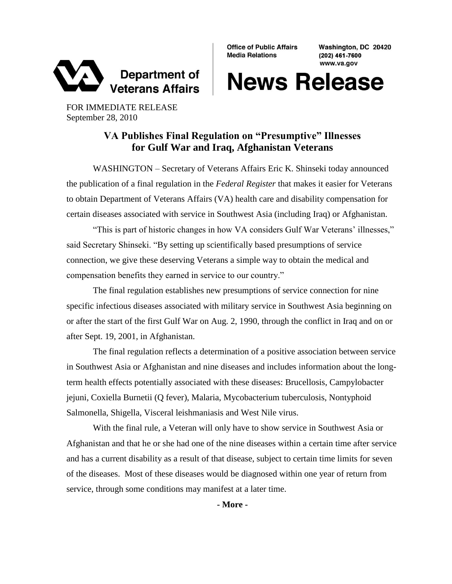

**Office of Public Affairs Media Relations** 

Washington, DC 20420 (202) 461-7600 www.va.gov

## **News Release**

FOR IMMEDIATE RELEASE September 28, 2010

## **VA Publishes Final Regulation on "Presumptive" Illnesses for Gulf War and Iraq, Afghanistan Veterans**

WASHINGTON – Secretary of Veterans Affairs Eric K. Shinseki today announced the publication of a final regulation in the *Federal Register* that makes it easier for Veterans to obtain Department of Veterans Affairs (VA) health care and disability compensation for certain diseases associated with service in Southwest Asia (including Iraq) or Afghanistan.

"This is part of historic changes in how VA considers Gulf War Veterans' illnesses," said Secretary Shinseki. "By setting up scientifically based presumptions of service connection, we give these deserving Veterans a simple way to obtain the medical and compensation benefits they earned in service to our country."

The final regulation establishes new presumptions of service connection for nine specific infectious diseases associated with military service in Southwest Asia beginning on or after the start of the first Gulf War on Aug. 2, 1990, through the conflict in Iraq and on or after Sept. 19, 2001, in Afghanistan.

The final regulation reflects a determination of a positive association between service in Southwest Asia or Afghanistan and nine diseases and includes information about the longterm health effects potentially associated with these diseases: Brucellosis, Campylobacter jejuni, Coxiella Burnetii (Q fever), Malaria, Mycobacterium tuberculosis, Nontyphoid Salmonella, Shigella, Visceral leishmaniasis and West Nile virus.

With the final rule, a Veteran will only have to show service in Southwest Asia or Afghanistan and that he or she had one of the nine diseases within a certain time after service and has a current disability as a result of that disease, subject to certain time limits for seven of the diseases. Most of these diseases would be diagnosed within one year of return from service, through some conditions may manifest at a later time.

**- More -**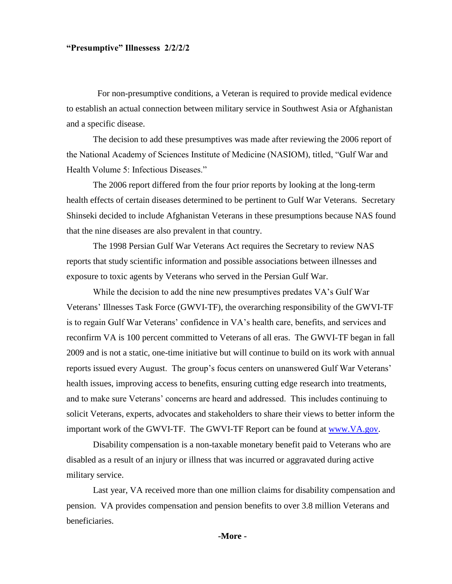## **"Presumptive" Illnessess 2/2/2/2**

 For non-presumptive conditions, a Veteran is required to provide medical evidence to establish an actual connection between military service in Southwest Asia or Afghanistan and a specific disease.

The decision to add these presumptives was made after reviewing the 2006 report of the National Academy of Sciences Institute of Medicine (NASIOM), titled, "Gulf War and Health Volume 5: Infectious Diseases."

The 2006 report differed from the four prior reports by looking at the long-term health effects of certain diseases determined to be pertinent to Gulf War Veterans. Secretary Shinseki decided to include Afghanistan Veterans in these presumptions because NAS found that the nine diseases are also prevalent in that country.

The 1998 Persian Gulf War Veterans Act requires the Secretary to review NAS reports that study scientific information and possible associations between illnesses and exposure to toxic agents by Veterans who served in the Persian Gulf War.

While the decision to add the nine new presumptives predates VA's Gulf War Veterans' Illnesses Task Force (GWVI-TF), the overarching responsibility of the GWVI-TF is to regain Gulf War Veterans' confidence in VA's health care, benefits, and services and reconfirm VA is 100 percent committed to Veterans of all eras. The GWVI-TF began in fall 2009 and is not a static, one-time initiative but will continue to build on its work with annual reports issued every August. The group's focus centers on unanswered Gulf War Veterans' health issues, improving access to benefits, ensuring cutting edge research into treatments, and to make sure Veterans' concerns are heard and addressed. This includes continuing to solicit Veterans, experts, advocates and stakeholders to share their views to better inform the important work of the GWVI-TF. The GWVI-TF Report can be found at [www.VA.gov.](http://www.va.gov/)

Disability compensation is a non-taxable monetary benefit paid to Veterans who are disabled as a result of an injury or illness that was incurred or aggravated during active military service.

Last year, VA received more than one million claims for disability compensation and pension. VA provides compensation and pension benefits to over 3.8 million Veterans and beneficiaries.

**-More -**